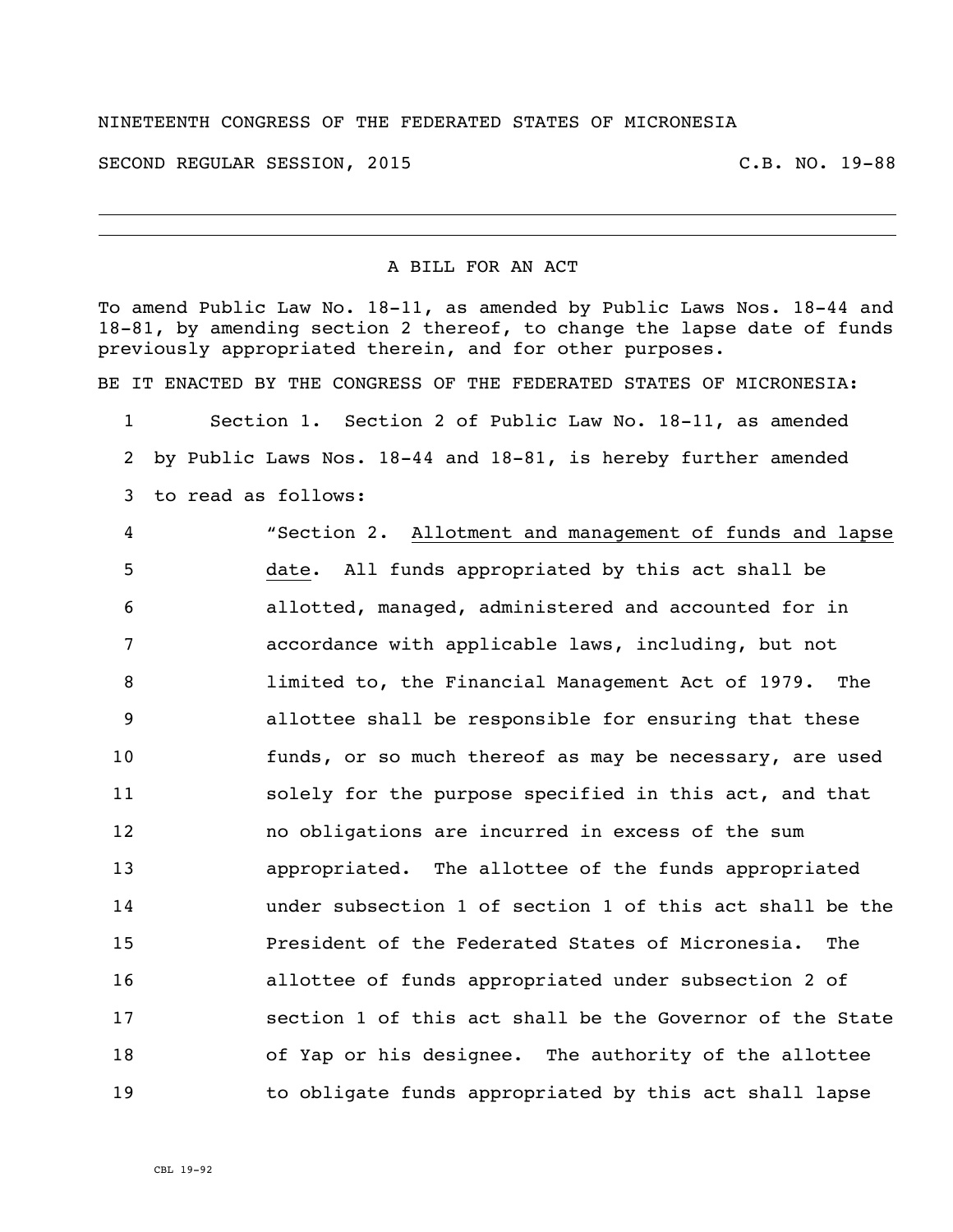## NINETEENTH CONGRESS OF THE FEDERATED STATES OF MICRONESIA

SECOND REGULAR SESSION, 2015 C.B. NO. 19-88

## A BILL FOR AN ACT

To amend Public Law No. 18-11, as amended by Public Laws Nos. 18-44 and 18-81, by amending section 2 thereof, to change the lapse date of funds previously appropriated therein, and for other purposes.

BE IT ENACTED BY THE CONGRESS OF THE FEDERATED STATES OF MICRONESIA:

 Section 1. Section 2 of Public Law No. 18-11, as amended by Public Laws Nos. 18-44 and 18-81, is hereby further amended to read as follows:

 "Section 2. Allotment and management of funds and lapse date. All funds appropriated by this act shall be allotted, managed, administered and accounted for in accordance with applicable laws, including, but not limited to, the Financial Management Act of 1979. The allottee shall be responsible for ensuring that these funds, or so much thereof as may be necessary, are used solely for the purpose specified in this act, and that no obligations are incurred in excess of the sum appropriated. The allottee of the funds appropriated under subsection 1 of section 1 of this act shall be the President of the Federated States of Micronesia. The allottee of funds appropriated under subsection 2 of section 1 of this act shall be the Governor of the State of Yap or his designee. The authority of the allottee to obligate funds appropriated by this act shall lapse